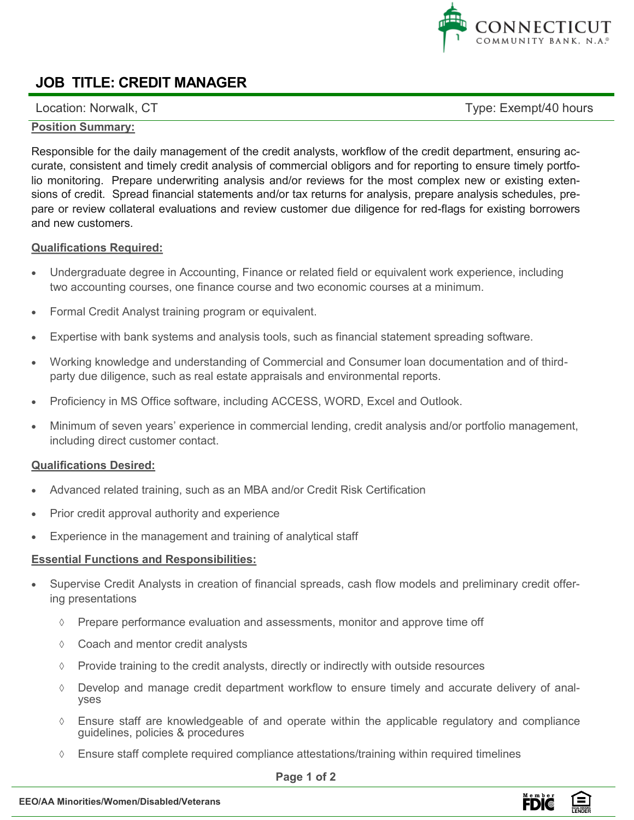

# **JOB TITLE: CREDIT MANAGER**

Location: Norwalk, CT exempt/40 hours

### **Position Summary:**

Responsible for the daily management of the credit analysts, workflow of the credit department, ensuring accurate, consistent and timely credit analysis of commercial obligors and for reporting to ensure timely portfolio monitoring. Prepare underwriting analysis and/or reviews for the most complex new or existing extensions of credit. Spread financial statements and/or tax returns for analysis, prepare analysis schedules, prepare or review collateral evaluations and review customer due diligence for red-flags for existing borrowers and new customers.

### **Qualifications Required:**

- Undergraduate degree in Accounting, Finance or related field or equivalent work experience, including two accounting courses, one finance course and two economic courses at a minimum.
- Formal Credit Analyst training program or equivalent.
- Expertise with bank systems and analysis tools, such as financial statement spreading software.
- Working knowledge and understanding of Commercial and Consumer loan documentation and of thirdparty due diligence, such as real estate appraisals and environmental reports.
- Proficiency in MS Office software, including ACCESS, WORD, Excel and Outlook.
- Minimum of seven years' experience in commercial lending, credit analysis and/or portfolio management, including direct customer contact.

## **Qualifications Desired:**

- Advanced related training, such as an MBA and/or Credit Risk Certification
- Prior credit approval authority and experience
- Experience in the management and training of analytical staff

#### **Essential Functions and Responsibilities:**

- Supervise Credit Analysts in creation of financial spreads, cash flow models and preliminary credit offering presentations
	- $\Diamond$  Prepare performance evaluation and assessments, monitor and approve time off
	- Coach and mentor credit analysts
	- $\Diamond$  Provide training to the credit analysts, directly or indirectly with outside resources
	- $\Diamond$  Develop and manage credit department workflow to ensure timely and accurate delivery of analyses
	- Ensure staff are knowledgeable of and operate within the applicable regulatory and compliance guidelines, policies & procedures
	- $\Diamond$  Ensure staff complete required compliance attestations/training within required timelines

**Page 1 of 2**